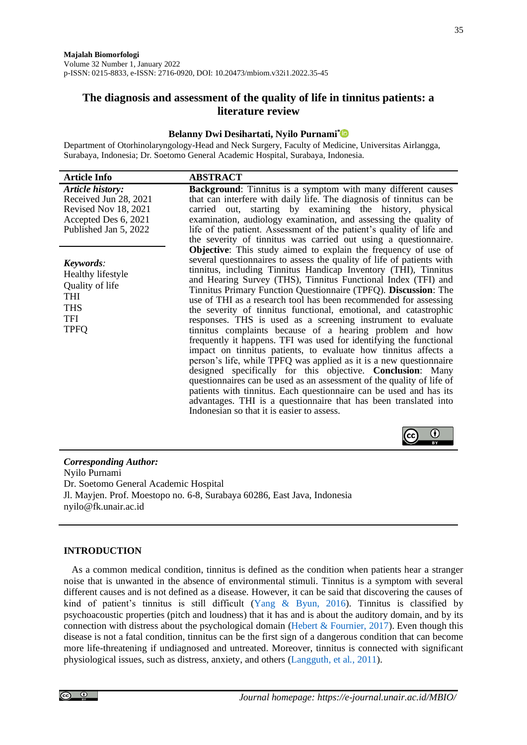# **The diagnosis and assessment of the quality of life in tinnitus patients: a literature review**

#### **Belanny Dwi Desihartati, Nyilo Purnami[\\*](https://orcid.org/0000-0001-9572-2679)**

Department of Otorhinolaryngology-Head and Neck Surgery, Faculty of Medicine, Universitas Airlangga, Surabaya, Indonesia; Dr. Soetomo General Academic Hospital, Surabaya, Indonesia.

| <b>Article Info</b>                                                                                                | <b>ABSTRACT</b>                                                                                                                                                                                                                                                                                                                                                                                                                                                                                                                                                                                                                                                                                                                                                                                                                                                                                                                                                                                                                                                                                                                                                         |
|--------------------------------------------------------------------------------------------------------------------|-------------------------------------------------------------------------------------------------------------------------------------------------------------------------------------------------------------------------------------------------------------------------------------------------------------------------------------------------------------------------------------------------------------------------------------------------------------------------------------------------------------------------------------------------------------------------------------------------------------------------------------------------------------------------------------------------------------------------------------------------------------------------------------------------------------------------------------------------------------------------------------------------------------------------------------------------------------------------------------------------------------------------------------------------------------------------------------------------------------------------------------------------------------------------|
| Article history:<br>Received Jun 28, 2021<br>Revised Nov 18, 2021<br>Accepted Des 6, 2021<br>Published Jan 5, 2022 | Background: Tinnitus is a symptom with many different causes<br>that can interfere with daily life. The diagnosis of tinnitus can be<br>carried out, starting by examining the history, physical<br>examination, audiology examination, and assessing the quality of<br>life of the patient. Assessment of the patient's quality of life and<br>the severity of tinnitus was carried out using a questionnaire.                                                                                                                                                                                                                                                                                                                                                                                                                                                                                                                                                                                                                                                                                                                                                         |
| Keywords:<br>Healthy lifestyle<br>Quality of life<br>THI<br><b>THS</b><br>TFI<br><b>TPFQ</b>                       | <b>Objective:</b> This study aimed to explain the frequency of use of<br>several questionnaires to assess the quality of life of patients with<br>tinnitus, including Tinnitus Handicap Inventory (THI), Tinnitus<br>and Hearing Survey (THS), Tinnitus Functional Index (TFI) and<br>Tinnitus Primary Function Questionnaire (TPFQ). Discussion: The<br>use of THI as a research tool has been recommended for assessing<br>the severity of tinnitus functional, emotional, and catastrophic<br>responses. THS is used as a screening instrument to evaluate<br>tinnitus complaints because of a hearing problem and how<br>frequently it happens. TFI was used for identifying the functional<br>impact on tinnitus patients, to evaluate how tinnitus affects a<br>person's life, while TPFQ was applied as it is a new questionnaire<br>designed specifically for this objective. Conclusion: Many<br>questionnaires can be used as an assessment of the quality of life of<br>patients with tinnitus. Each questionnaire can be used and has its<br>advantages. THI is a questionnaire that has been translated into<br>Indonesian so that it is easier to assess. |
|                                                                                                                    |                                                                                                                                                                                                                                                                                                                                                                                                                                                                                                                                                                                                                                                                                                                                                                                                                                                                                                                                                                                                                                                                                                                                                                         |

*Corresponding Author:* Nyilo Purnami Dr. Soetomo General Academic Hospital Jl. Mayjen. Prof. Moestopo no. 6-8, Surabaya 60286, East Java, Indonesia nyilo@fk.unair.ac.id

### **INTRODUCTION**

As a common medical condition, tinnitus is defined as the condition when patients hear a stranger noise that is unwanted in the absence of environmental stimuli. Tinnitus is a symptom with several different causes and is not defined as a disease. However, it can be said that discovering the causes of kind of patient's tinnitus is still difficult [\(Yang & Byun, 2016\)](#page-10-0). Tinnitus is classified by psychoacoustic properties (pitch and loudness) that it has and is about the auditory domain, and by its connection with distress about the psychological domain (Hebert  $&$  Fournier, 2017). Even though this disease is not a fatal condition, tinnitus can be the first sign of a dangerous condition that can become more life-threatening if undiagnosed and untreated. Moreover, tinnitus is connected with significant physiological issues, such as distress, anxiety, and others [\(Langguth, et al](#page-9-1)*.*, 2011).

l cc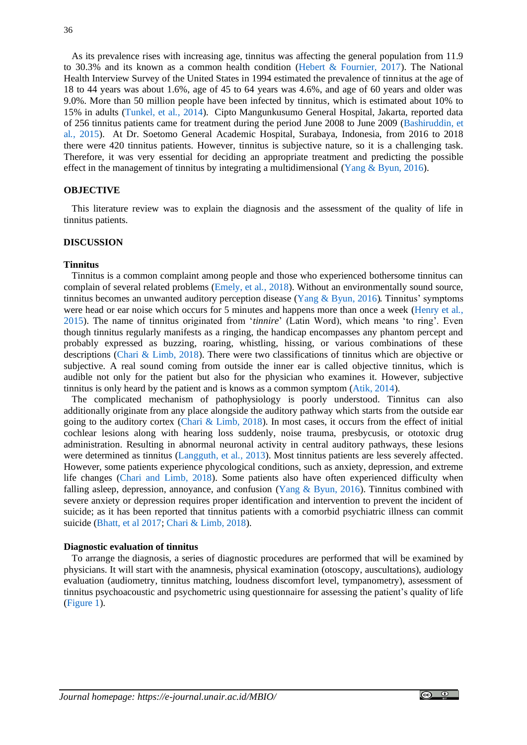As its prevalence rises with increasing age, tinnitus was affecting the general population from 11.9 to 30.3% and its known as a common health condition [\(Hebert & Fournier, 2017\)](#page-9-0). The National Health Interview Survey of the United States in 1994 estimated the prevalence of tinnitus at the age of 18 to 44 years was about 1.6%, age of 45 to 64 years was 4.6%, and age of 60 years and older was 9.0%. More than 50 million people have been infected by tinnitus, which is estimated about 10% to 15% in adults [\(Tunkel,](#page-9-2) et al*.*, 2014). Cipto Mangunkusumo General Hospital, Jakarta, reported data of 256 tinnitus patients came for treatment during the period June 2008 to June 2009 [\(Bashiruddin, et](#page-9-3)  al*.*[, 2015\)](#page-9-3). At Dr. Soetomo General Academic Hospital, Surabaya, Indonesia, from 2016 to 2018 there were 420 tinnitus patients. However, tinnitus is subjective nature, so it is a challenging task. Therefore, it was very essential for deciding an appropriate treatment and predicting the possible effect in the management of tinnitus by integrating a multidimensional (Yang  $\&$  Byun, 2016).

## **OBJECTIVE**

This literature review was to explain the diagnosis and the assessment of the quality of life in tinnitus patients.

## **DISCUSSION**

#### **Tinnitus**

Tinnitus is a common complaint among people and those who experienced bothersome tinnitus can complain of several related problems [\(Emely, et](#page-9-4) al*.*, 2018). Without an environmentally sound source, tinnitus becomes an unwanted auditory perception disease [\(Yang & Byun, 2016\)](#page-10-0). Tinnitus' symptoms were head or ear noise which occurs for 5 minutes and happens more than once a week [\(Henry](#page-9-5) et al*.*, [2015\)](#page-9-5). The name of tinnitus originated from '*tinnire*' (Latin Word), which means 'to ring'. Even though tinnitus regularly manifests as a ringing, the handicap encompasses any phantom percept and probably expressed as buzzing, roaring, whistling, hissing, or various combinations of these descriptions [\(Chari & Limb, 2018\)](#page-9-6). There were two classifications of tinnitus which are objective or subjective. A real sound coming from outside the inner ear is called objective tinnitus, which is audible not only for the patient but also for the physician who examines it. However, subjective tinnitus is only heard by the patient and is knows as a common symptom [\(Atik, 2014\)](#page-9-7).

The complicated mechanism of pathophysiology is poorly understood. Tinnitus can also additionally originate from any place alongside the auditory pathway which starts from the outside ear going to the auditory cortex (Chari  $\&$  [Limb, 2018\)](#page-9-6). In most cases, it occurs from the effect of initial cochlear lesions along with hearing loss suddenly, noise trauma, presbycusis, or ototoxic drug administration. Resulting in abnormal neuronal activity in central auditory pathways, these lesions were determined as tinnitus [\(Langguth, et al](#page-9-8)*.*, 2013). Most tinnitus patients are less severely affected. However, some patients experience phycological conditions, such as anxiety, depression, and extreme life changes [\(Chari and Limb, 2018\)](#page-9-6). Some patients also have often experienced difficulty when falling asleep, depression, annoyance, and confusion [\(Yang & Byun, 2016\)](#page-10-0). Tinnitus combined with severe anxiety or depression requires proper identification and intervention to prevent the incident of suicide; as it has been reported that tinnitus patients with a comorbid psychiatric illness can commit suicide [\(Bhatt, et al 2017;](#page-9-9) [Chari & Limb, 2018\)](#page-9-6).

## **Diagnostic evaluation of tinnitus**

To arrange the diagnosis, a series of diagnostic procedures are performed that will be examined by physicians. It will start with the anamnesis, physical examination (otoscopy, auscultations), audiology evaluation (audiometry, tinnitus matching, loudness discomfort level, tympanometry), assessment of tinnitus psychoacoustic and psychometric using questionnaire for assessing the patient's quality of life [\(Figure 1\)](#page-2-0).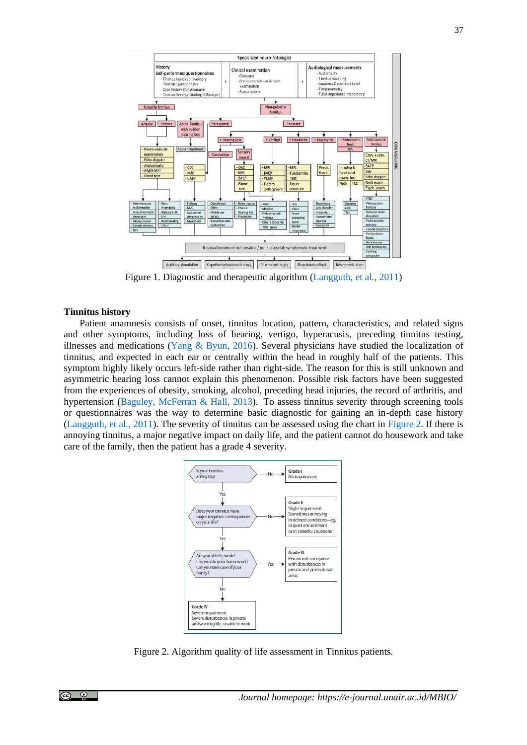

Figure 1. Diagnostic and therapeutic algorithm [\(Langguth, et al](#page-9-1)*.*, 2011)

## <span id="page-2-0"></span>**Tinnitus history**

Patient anamnesis consists of onset, tinnitus location, pattern, characteristics, and related signs and other symptoms, including loss of hearing, vertigo, hyperacusis, preceding tinnitus testing, illnesses and medications [\(Yang & Byun, 2016\)](#page-10-0). Several physicians have studied the localization of tinnitus, and expected in each ear or centrally within the head in roughly half of the patients. This symptom highly likely occurs left-side rather than right-side. The reason for this is still unknown and asymmetric hearing loss cannot explain this phenomenon. Possible risk factors have been suggested from the experiences of obesity, smoking, alcohol, preceding head injuries, the record of arthritis, and hypertension [\(Baguley, McFerran & Hall, 2013\)](#page-9-10). To assess tinnitus severity through screening tools or questionnaires was the way to determine basic diagnostic for gaining an in-depth case history [\(Langguth, et al](#page-9-1)*.*, 2011). The severity of tinnitus can be assessed using the chart in [Figure 2.](#page-2-1) If there is annoying tinnitus, a major negative impact on daily life, and the patient cannot do housework and take care of the family, then the patient has a grade 4 severity.



<span id="page-2-1"></span>Figure 2. Algorithm quality of life assessment in Tinnitus patients.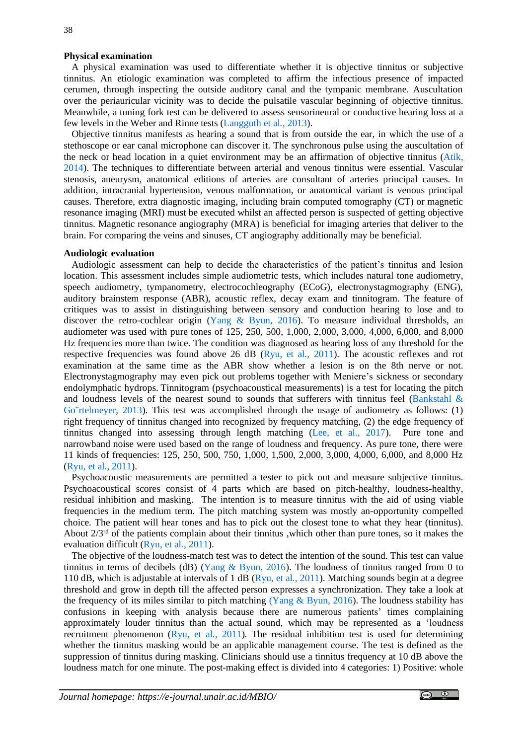#### **Physical examination**

A physical examination was used to differentiate whether it is objective tinnitus or subjective tinnitus. An etiologic examination was completed to affirm the infectious presence of impacted cerumen, through inspecting the outside auditory canal and the tympanic membrane. Auscultation over the periauricular vicinity was to decide the pulsatile vascular beginning of objective tinnitus. Meanwhile, a tuning fork test can be delivered to assess sensorineural or conductive hearing loss at a few levels in the Weber and Rinne tests [\(Langguth](#page-9-8) et al*.,* 2013).

Objective tinnitus manifests as hearing a sound that is from outside the ear, in which the use of a stethoscope or ear canal microphone can discover it. The synchronous pulse using the auscultation of the neck or head location in a quiet environment may be an affirmation of objective tinnitus [\(Atik,](#page-9-7)  [2014\)](#page-9-7). The techniques to differentiate between arterial and venous tinnitus were essential. Vascular stenosis, aneurysm, anatomical editions of arteries are consultant of arteries principal causes. In addition, intracranial hypertension, venous malformation, or anatomical variant is venous principal causes. Therefore, extra diagnostic imaging, including brain computed tomography (CT) or magnetic resonance imaging (MRI) must be executed whilst an affected person is suspected of getting objective tinnitus. Magnetic resonance angiography (MRA) is beneficial for imaging arteries that deliver to the brain. For comparing the veins and sinuses, CT angiography additionally may be beneficial.

#### **Audiologic evaluation**

Audiologic assessment can help to decide the characteristics of the patient's tinnitus and lesion location. This assessment includes simple audiometric tests, which includes natural tone audiometry, speech audiometry, tympanometry, electrocochleography (ECoG), electronystagmography (ENG), auditory brainstem response (ABR), acoustic reflex, decay exam and tinnitogram. The feature of critiques was to assist in distinguishing between sensory and conduction hearing to lose and to discover the retro-cochlear origin [\(Yang & Byun, 2016\)](#page-10-0). To measure individual thresholds, an audiometer was used with pure tones of 125, 250, 500, 1,000, 2,000, 3,000, 4,000, 6,000, and 8,000 Hz frequencies more than twice. The condition was diagnosed as hearing loss of any threshold for the respective frequencies was found above 26 dB [\(Ryu, et al](#page-9-11)*.*, 2011). The acoustic reflexes and rot examination at the same time as the ABR show whether a lesion is on the 8th nerve or not. Electronystagmography may even pick out problems together with Meniere's sickness or secondary endolymphatic hydrops. Tinnitogram (psychoacoustical measurements) is a test for locating the pitch and loudness levels of the nearest sound to sounds that sufferers with tinnitus feel (Bankstahl  $\&$ Go rtelmeyer, 2013). This test was accomplished through the usage of audiometry as follows: (1) right frequency of tinnitus changed into recognized by frequency matching, (2) the edge frequency of tinnitus changed into assessing through length matching [\(Lee, et al., 2017\)](#page-9-13). Pure tone and narrowband noise were used based on the range of loudness and frequency. As pure tone, there were 11 kinds of frequencies: 125, 250, 500, 750, 1,000, 1,500, 2,000, 3,000, 4,000, 6,000, and 8,000 Hz [\(Ryu, et al](#page-9-11)*.*, 2011).

Psychoacoustic measurements are permitted a tester to pick out and measure subjective tinnitus. Psychoacoustical scores consist of 4 parts which are based on pitch-healthy, loudness-healthy, residual inhibition and masking. The intention is to measure tinnitus with the aid of using viable frequencies in the medium term. The pitch matching system was mostly an-opportunity compelled choice. The patient will hear tones and has to pick out the closest tone to what they hear (tinnitus). About  $2/3<sup>rd</sup>$  of the patients complain about their tinnitus , which other than pure tones, so it makes the evaluation difficult [\(Ryu, et al](#page-9-11)*.*, 2011).

The objective of the loudness-match test was to detect the intention of the sound. This test can value tinnitus in terms of decibels (dB) (Yang  $\&$  Byun, 2016). The loudness of tinnitus ranged from 0 to 110 dB, which is adjustable at intervals of 1 dB [\(Ryu, et al](#page-9-11)*.*, 2011). Matching sounds begin at a degree threshold and grow in depth till the affected person expresses a synchronization. They take a look at the frequency of its miles similar to pitch matching [\(Yang & Byun, 2016\)](#page-10-0). The loudness stability has confusions in keeping with analysis because there are numerous patients' times complaining approximately louder tinnitus than the actual sound, which may be represented as a 'loudness recruitment phenomenon [\(Ryu, et al](#page-9-11)*.*, 2011). The residual inhibition test is used for determining whether the tinnitus masking would be an applicable management course. The test is defined as the suppression of tinnitus during masking. Clinicians should use a tinnitus frequency at 10 dB above the loudness match for one minute. The post-making effect is divided into 4 categories: 1) Positive: whole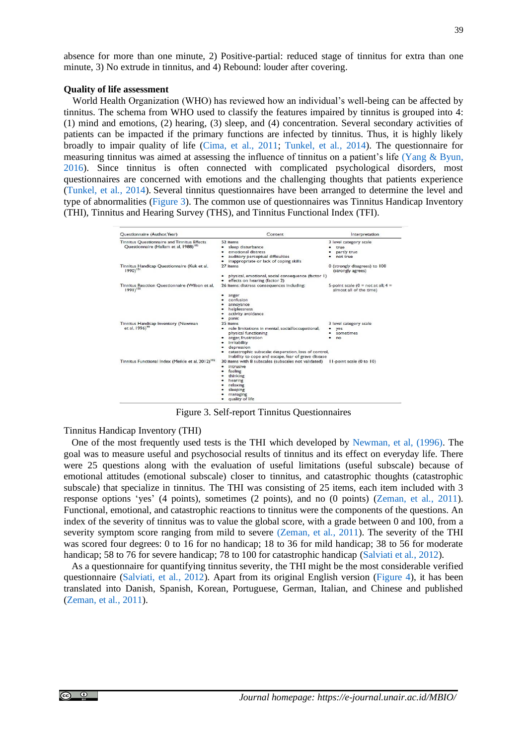absence for more than one minute, 2) Positive-partial: reduced stage of tinnitus for extra than one minute, 3) No extrude in tinnitus, and 4) Rebound: louder after covering.

#### **Quality of life assessment**

World Health Organization (WHO) has reviewed how an individual's well-being can be affected by tinnitus. The schema from WHO used to classify the features impaired by tinnitus is grouped into 4: (1) mind and emotions, (2) hearing, (3) sleep, and (4) concentration. Several secondary activities of patients can be impacted if the primary functions are infected by tinnitus. Thus, it is highly likely broadly to impair quality of life [\(Cima, et al., 2011;](#page-9-14) [Tunkel, et al](#page-9-2)*.*, 2014). The questionnaire for measuring tinnitus was aimed at assessing the influence of tinnitus on a patient's life (Yang & Byun, [2016\)](#page-10-0). Since tinnitus is often connected with complicated psychological disorders, most questionnaires are concerned with emotions and the challenging thoughts that patients experience [\(Tunkel, et al](#page-9-2)*.*, 2014). Several tinnitus questionnaires have been arranged to determine the level and type of abnormalities [\(Figure 3\)](#page-4-0). The common use of questionnaires was Tinnitus Handicap Inventory (THI), Tinnitus and Hearing Survey (THS), and Tinnitus Functional Index (TFI).

| Questionnaire (Author, Year)                                            | Content                                                                                    | Interpretation                                                     |  |  |  |
|-------------------------------------------------------------------------|--------------------------------------------------------------------------------------------|--------------------------------------------------------------------|--|--|--|
| Tinnitus Ouestionnaire and Tinnitus Effects                             | 52 items                                                                                   | 3 level category scale                                             |  |  |  |
| Questionnaire (Hallam et al, 1988) <sup>105</sup>                       | sleep disturbance                                                                          | true                                                               |  |  |  |
|                                                                         | emotional distress                                                                         | partly true                                                        |  |  |  |
|                                                                         | auditory perceptual difficulties                                                           | not true                                                           |  |  |  |
|                                                                         | inappropriate or lack of coping skills                                                     |                                                                    |  |  |  |
| Tinnitus Handicap Questionnaire (Kuk et al.<br>1990) <sup>101</sup>     | 27 items                                                                                   | 0 (strongly disagrees) to 100<br>(strongly agrees)                 |  |  |  |
|                                                                         | physical, emotional, social consequence (factor 1)<br>٠<br>• effects on hearing (factor 2) |                                                                    |  |  |  |
| Tinnitus Reaction Questionnaire (Wilson et al,<br>$1991$ <sup>100</sup> | 26 items: distress consequences including:                                                 | 5-point scale ( $0 =$ not at all; $4 =$<br>almost all of the time) |  |  |  |
|                                                                         | anger                                                                                      |                                                                    |  |  |  |
|                                                                         | confusion                                                                                  |                                                                    |  |  |  |
|                                                                         | annoyance                                                                                  |                                                                    |  |  |  |
|                                                                         | helplessness                                                                               |                                                                    |  |  |  |
|                                                                         | activity avoidance                                                                         |                                                                    |  |  |  |
|                                                                         | panic                                                                                      |                                                                    |  |  |  |
| Tinnitus Handicap Inventory (Newman                                     | 25 items                                                                                   | 3 level category scale                                             |  |  |  |
| et al, 1996) <sup>99</sup>                                              | • role limitations in mental, social/occupational,                                         | yes.                                                               |  |  |  |
|                                                                         | physical functioning                                                                       | sometimes                                                          |  |  |  |
|                                                                         | • anger, frustration                                                                       | no                                                                 |  |  |  |
|                                                                         | <i><b>irritability</b></i><br>٠                                                            |                                                                    |  |  |  |
|                                                                         | depression                                                                                 |                                                                    |  |  |  |
|                                                                         | catastrophic subscale: desperation, loss of control,<br>$\bullet$                          |                                                                    |  |  |  |
|                                                                         | inability to cope and escape, fear of grave disease                                        |                                                                    |  |  |  |
| Tinnitus Functional Index (Meikle et al, 2012) <sup>102</sup>           | 30 items with 8 subscales (subscales not validated)                                        | I I-point scale (0 to 10)                                          |  |  |  |
|                                                                         | intrusive<br>٠                                                                             |                                                                    |  |  |  |
|                                                                         | feeling                                                                                    |                                                                    |  |  |  |
|                                                                         | thinking                                                                                   |                                                                    |  |  |  |
|                                                                         | hearing                                                                                    |                                                                    |  |  |  |
|                                                                         | relaxing                                                                                   |                                                                    |  |  |  |
|                                                                         | sleeping                                                                                   |                                                                    |  |  |  |
|                                                                         | managing                                                                                   |                                                                    |  |  |  |
|                                                                         | quality of life<br>٠                                                                       |                                                                    |  |  |  |

Figure 3. Self-report Tinnitus Questionnaires

<span id="page-4-0"></span>Tinnitus Handicap Inventory (THI)

One of the most frequently used tests is the THI which developed by [Newman, et al, \(1996\).](#page-9-15) The goal was to measure useful and psychosocial results of tinnitus and its effect on everyday life. There were 25 questions along with the evaluation of useful limitations (useful subscale) because of emotional attitudes (emotional subscale) closer to tinnitus, and catastrophic thoughts (catastrophic subscale) that specialize in tinnitus. The THI was consisting of 25 items, each item included with 3 response options 'yes' (4 points), sometimes (2 points), and no (0 points) [\(Zeman, et al](#page-10-1)*.*, 2011). Functional, emotional, and catastrophic reactions to tinnitus were the components of the questions. An index of the severity of tinnitus was to value the global score, with a grade between 0 and 100, from a severity symptom score ranging from mild to severe [\(Zeman, et al](#page-10-1)*.*, 2011). The severity of the THI was scored four degrees: 0 to 16 for no handicap; 18 to 36 for mild handicap; 38 to 56 for moderate handicap; 58 to 76 for severe handicap; 78 to 100 for catastrophic handicap [\(Salviati](#page-9-16) et al*.*, 2012).

As a questionnaire for quantifying tinnitus severity, the THI might be the most considerable verified questionnaire [\(Salviati, et al](#page-9-16)*.*, 2012). Apart from its original English version [\(Figure 4\)](#page-5-0), it has been translated into Danish, Spanish, Korean, Portuguese, German, Italian, and Chinese and published [\(Zeman, et al](#page-10-1)*.*, 2011).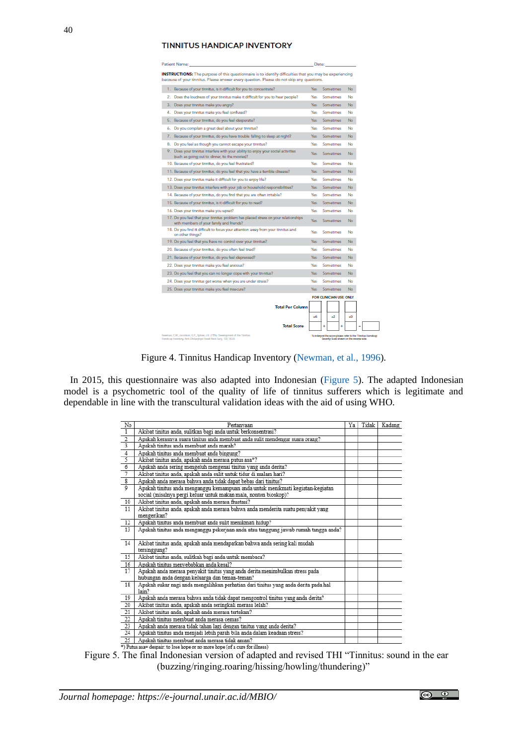### **TINNITUS HANDICAP INVENTORY**

|    | Patient Name:                                                                                                                                                                                         | Date:                  |                 |                  |    |                                                                                                           |
|----|-------------------------------------------------------------------------------------------------------------------------------------------------------------------------------------------------------|------------------------|-----------------|------------------|----|-----------------------------------------------------------------------------------------------------------|
|    | INSTRUCTIONS: The purpose of this questionnaire is to identify difficulties that you may be experiencing<br>because of your tinnitus. Please answer every question. Please do not skip any questions. |                        |                 |                  |    |                                                                                                           |
|    | 1. Because of your tinnitus, is it difficult for you to concentrate?                                                                                                                                  | Yes                    |                 | Sometimes        |    | No                                                                                                        |
| 2. | Does the loudness of your tinnitus make it difficult for you to hear people?                                                                                                                          | Yes                    |                 | Sometimes        |    | No                                                                                                        |
| з. | Does your tinnitus make you angry?                                                                                                                                                                    | Yes                    |                 | Sometimes        |    | No                                                                                                        |
| 4. | Does your tinnitus make you feel confused?                                                                                                                                                            | Yes                    |                 | Somatimas        |    | No                                                                                                        |
| 5. | Because of your tinnitus, do you feel desperate?                                                                                                                                                      | Yes                    |                 | Sometimes        |    | No                                                                                                        |
| 6. | Do you complain a great deal about your tinnitus?                                                                                                                                                     | Yes                    |                 | Sometimes        |    | No                                                                                                        |
|    | 7. Because of your tinnitus, do you have trouble falling to sleep at night?                                                                                                                           | Yes                    |                 | Sometimes        |    | No                                                                                                        |
| 8. | Do you feel as though you cannot escape your tinnitus?                                                                                                                                                | Yos                    |                 | Sometimes        |    | No                                                                                                        |
|    | 9. Does your tinnitus interfere with your ability to enjoy your social activities<br>(such as going out to dinner, to the movies)?                                                                    | Yes                    |                 | <b>Sometimes</b> |    | No                                                                                                        |
|    | 10. Because of your tinnitus, do you feel frustrated?                                                                                                                                                 | Yes                    |                 | Sometimes        |    | No                                                                                                        |
|    | 11. Because of your tinnitus, do you feel that you have a terrible disease?                                                                                                                           | Yes                    |                 | Sometimes        |    | No                                                                                                        |
|    | 12. Does your tinnitus make it difficult for you to enjoy life?                                                                                                                                       | Yes                    |                 | Sometimes        |    | No                                                                                                        |
|    | 13. Does your tinnitus interfere with your job or household responsibilities?                                                                                                                         | Yes                    |                 | Sometimes        |    | No                                                                                                        |
|    | 14. Because of your tinnitus, do you find that you are often initable?                                                                                                                                | Yes                    |                 | Sometimes        |    | No                                                                                                        |
|    | 15. Because of your tinnitus, is it difficult for you to read?                                                                                                                                        | Yes                    |                 | Sometimes        |    | No                                                                                                        |
|    | 16. Does your tinnitus make you upset?                                                                                                                                                                | Yes                    | Sometimes<br>No |                  |    |                                                                                                           |
|    | 17. Do you feel that your tinnitus problem has placed stress on your relationships<br>with members of your family and friends?                                                                        | Yes                    |                 | Sometimes        |    | No                                                                                                        |
|    | 18. Do you find it difficult to focus your attention away from your tinnitus and<br>on other things?                                                                                                  | Yes                    |                 | Sometimes        |    | No                                                                                                        |
|    | 19. Do you feel that you have no control over your tinnitus?                                                                                                                                          | Yes                    |                 | Sometimes        |    | No                                                                                                        |
|    | 20. Because of your tinnitus, do you often feel tired?                                                                                                                                                | Yes                    |                 | Sometimes        |    | No                                                                                                        |
|    | 21. Because of your tinnitus, do you feel depressed?                                                                                                                                                  | Yes                    |                 | Sometimes        |    | No                                                                                                        |
|    | 22. Does your tinnitus make you feel anxious?                                                                                                                                                         | Yes                    |                 | Somatimas        |    | No                                                                                                        |
|    | 23. Do you feel that you can no longer cope with your tinnitus?                                                                                                                                       | Yes                    |                 | Sometimes        |    | No                                                                                                        |
|    | 24. Does your tinnitus get worse when you are under stress?                                                                                                                                           | Yes                    |                 | Somatimas        |    | No                                                                                                        |
|    | 25. Does your tinnitus make you feel insecure?                                                                                                                                                        | Yes                    | Somatimas       |                  | No |                                                                                                           |
|    |                                                                                                                                                                                                       | FOR CLINICIAN USE ONLY |                 |                  |    |                                                                                                           |
|    | <b>Total Per Column</b>                                                                                                                                                                               |                        |                 |                  |    |                                                                                                           |
|    |                                                                                                                                                                                                       |                        |                 |                  |    | x0                                                                                                        |
|    | <b>Total Score</b>                                                                                                                                                                                    |                        |                 |                  |    |                                                                                                           |
|    | Newman, C.W., Jacobson, G.P., Spitzer, J.B. (1994). Development of the Timitus<br>Handicap Inventory Arch Otoloryngol Head Neck Sang, 122, 143-8.                                                     |                        |                 |                  |    | To interpret the score please refer to the Tinnitus Handicap<br>Severity Scale chown on the revenue cide. |

<span id="page-5-1"></span>Figure 4. Tinnitus Handicap Inventory [\(Newman, et al., 1996\)](#page-9-15).

<span id="page-5-0"></span>In 2015, this questionnaire was also adapted into Indonesian [\(Figure 5\)](#page-5-1). The adapted Indonesian model is a psychometric tool of the quality of life of tinnitus sufferers which is legitimate and dependable in line with the transcultural validation ideas with the aid of using WHO.

| No              | Pertanyaan                                                                                                                                         | Ya | Tidak | Kadang |
|-----------------|----------------------------------------------------------------------------------------------------------------------------------------------------|----|-------|--------|
| $\overline{1}$  | Akibat tinitus anda, sulitkan bagi anda untuk berkonsentrasi?                                                                                      |    |       |        |
|                 | Apakah kerasnya suara tinitus anda membuat anda sulit mendengar suara orang?                                                                       |    |       |        |
| $\frac{2}{3}$   | Apakah tinitus anda membuat anda marah?                                                                                                            |    |       |        |
|                 | Apakah tinitus anda membuat anda bingung?                                                                                                          |    |       |        |
| $\frac{4}{5}$   | Akibat tinitus anda, apakah anda merasa putus asa*?                                                                                                |    |       |        |
| $\overline{6}$  | Apakah anda sering mengeluh mengenai tinitus yang anda derita?                                                                                     |    |       |        |
| 7               | Akibat tinitus anda, apakah anda sulit untuk tidur di malam hari?                                                                                  |    |       |        |
| $\overline{s}$  | Apakah anda merasa bahwa anda tidak dapat bebas dari tinitus?                                                                                      |    |       |        |
| ०               | Apakah tinitus anda menganggu kemampuan anda untuk menikmati kegiatan-kegiatan<br>social (misalnya pergi keluar untuk makan mala, nonton bioskop)? |    |       |        |
| 10              | Akibat tinitus anda, apakah anda merasa frustasi?                                                                                                  |    |       |        |
| 11              | Akibat tinitus anda, apakah anda merasa bahwa anda menderita suatu penyakit yang                                                                   |    |       |        |
|                 | mengerikan?                                                                                                                                        |    |       |        |
| <sup>12</sup>   | Apakah tinitus anda membuat anda sulit menikmati hidup?                                                                                            |    |       |        |
| 13              | Apakah tinitus anda menganggu pekerjaan anda atau tanggung jawab rumah tangga anda?                                                                |    |       |        |
| 14              | Akibat tinitus anda, apakah anda mendapatkan bahwa anda sering kali mudah<br>tersinggung?                                                          |    |       |        |
| 15              | Akibat tinitus anda, sulitkah bagi anda untuk membaca?                                                                                             |    |       |        |
| 16              | Apakah tinitus menyebabkan anda kesal?                                                                                                             |    |       |        |
| 17              | Apakah anda merasa penyakit tinitus yang anda derita menimbulkan stress pada                                                                       |    |       |        |
|                 | hubungan anda dengan keluarga dan teman-teman?                                                                                                     |    |       |        |
| 18              | Apakah sukar nagi anda mengalihkan perhatian dari tinitus yang anda derita pada hal<br>lain?                                                       |    |       |        |
| 19              | Apakah anda merasa bahwa anda tidak dapat mengontrol tinitus yang anda derita?                                                                     |    |       |        |
| 20 <sub>2</sub> | Akibat tinitus anda, apakah anda seringkali merasa lelah?                                                                                          |    |       |        |
| 21              | Akibat tinitus anda, apakah anda merasa tertekan?                                                                                                  |    |       |        |
| 22              | Apakah tinitus membuat anda merasa cemas?                                                                                                          |    |       |        |
| 23              | Apakah anda merasa tidak tahan lagi dengan tinitus yang anda derita?                                                                               |    |       |        |
| 24              | Apakah tinitus anda menjadi lebih parah bila anda dalam keadaan stress?                                                                            |    |       |        |
| $\overline{25}$ | Apakah tinitus membuat anda merasa tidak aman?                                                                                                     |    |       |        |
|                 | *) Putus asa= despair: to lose hope or no more hope (of a cure for illness)                                                                        |    |       |        |

Figure 5. The final Indonesian version of adapted and revised THI "Tinnitus: sound in the ear (buzzing/ringing.roaring/hissing/howling/thundering)"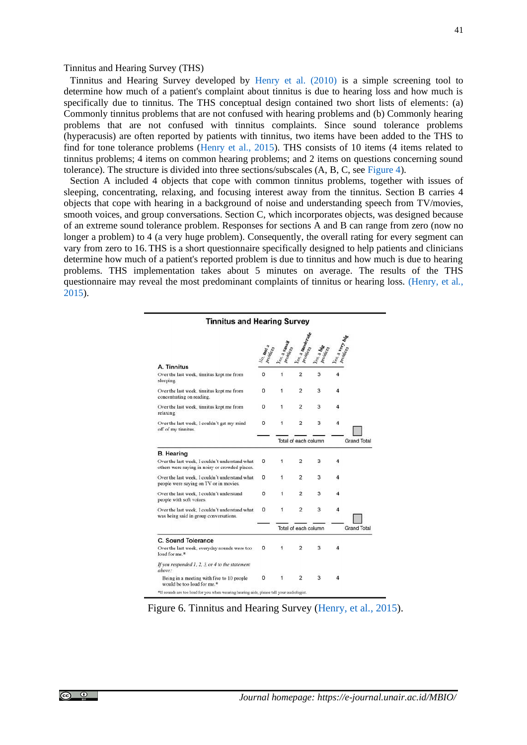Tinnitus and Hearing Survey developed by [Henry et al. \(2010\)](#page-9-5) is a simple screening tool to determine how much of a patient's complaint about tinnitus is due to hearing loss and how much is specifically due to tinnitus. The THS conceptual design contained two short lists of elements: (a) Commonly tinnitus problems that are not confused with hearing problems and (b) Commonly hearing problems that are not confused with tinnitus complaints. Since sound tolerance problems (hyperacusis) are often reported by patients with tinnitus, two items have been added to the THS to find for tone tolerance problems [\(Henry et al., 2015\)](#page-9-5). THS consists of 10 items (4 items related to tinnitus problems; 4 items on common hearing problems; and 2 items on questions concerning sound tolerance). The structure is divided into three sections/subscales (A, B, C, see [Figure 4\)](#page-5-0).

Section A included 4 objects that cope with common tinnitus problems, together with issues of sleeping, concentrating, relaxing, and focusing interest away from the tinnitus. Section B carries 4 objects that cope with hearing in a background of noise and understanding speech from TV/movies, smooth voices, and group conversations. Section C, which incorporates objects, was designed because of an extreme sound tolerance problem. Responses for sections A and B can range from zero (now no longer a problem) to 4 (a very huge problem). Consequently, the overall rating for every segment can vary from zero to 16. THS is a short questionnaire specifically designed to help patients and clinicians determine how much of a patient's reported problem is due to tinnitus and how much is due to hearing problems. THS implementation takes about 5 minutes on average. The results of the THS questionnaire may reveal the most predominant complaints of tinnitus or hearing loss. [\(Henry, et al](#page-9-5)*.*, [2015\)](#page-9-5).

| <b>Tinnitus and Hearing Survey</b>                                                               |                                 |                        |                                        |   |   |                    |
|--------------------------------------------------------------------------------------------------|---------------------------------|------------------------|----------------------------------------|---|---|--------------------|
|                                                                                                  | io mot <sub>el</sub><br>Problem | 28, 4 Small<br>Problem | <sup>S &amp; Digderme</sup><br>Problem |   |   |                    |
| A. Tinnitus                                                                                      |                                 |                        |                                        |   |   |                    |
| Over the last week, tinnitus kept me from<br>sleeping                                            | 0                               | 1                      | $\overline{2}$                         | 3 |   |                    |
| Over the last week, tinnitus kept me from<br>concentrating on reading.                           | 0                               | 1                      | $\overline{a}$                         | 3 |   |                    |
| Over the last week, tinnitus kept me from<br>relaxing.                                           | 0                               | 1                      | $\overline{c}$                         | 3 |   |                    |
| Over the last week. I couldn't get my mind<br>off of my tinnitus.                                | o                               | 1                      | $\overline{2}$                         | 3 | 4 |                    |
|                                                                                                  |                                 |                        | Total of each column                   |   |   | <b>Grand Total</b> |
| <b>B.</b> Hearing                                                                                |                                 |                        |                                        |   |   |                    |
| Over the last week. I couldn't understand what<br>others were saying in noisy or crowded places. | 0                               | 1                      | 2                                      | 3 | 4 |                    |
| Over the last week. I couldn't understand what<br>people were saying on TV or in movies.         | 0                               | 1                      | $\overline{2}$                         | 3 |   |                    |
| Over the last week. I couldn't understand<br>people with soft voices.                            | o                               | 1                      | $\overline{2}$                         | 3 |   |                    |
| Over the last week. I couldn't understand what<br>was being said in group conversations.         | 0                               | 1                      | 2                                      | 3 | 4 |                    |
|                                                                                                  |                                 |                        | Total of each column                   |   |   | <b>Grand Total</b> |
| C. Sound Tolerance                                                                               |                                 |                        |                                        |   |   |                    |
| Over the last week, everyday sounds were too<br>loud for me.*                                    | 0                               | 1                      | $\overline{2}$                         | 3 |   |                    |
| If you responded 1, 2, 3, or 4 to the statement<br>above:                                        |                                 |                        |                                        |   |   |                    |
| Being in a meeting with five to 10 people<br>would be too loud for me.*                          | 0                               | 1                      | $\overline{2}$                         | 3 |   |                    |
| *If sounds are too loud for you when wearing hearing aids, please tell your audiologist.         |                                 |                        |                                        |   |   |                    |

Figure 6. Tinnitus and Hearing Survey [\(Henry, et al](#page-9-5)*.*, 2015).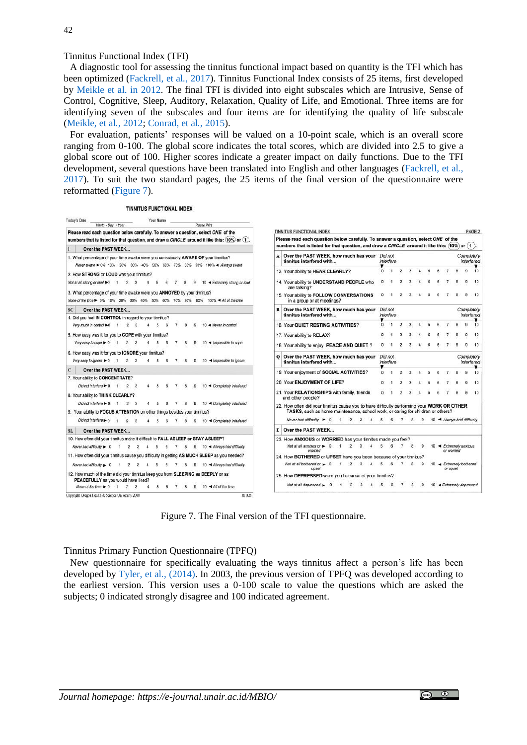42

Tinnitus Functional Index (TFI)

A diagnostic tool for assessing the tinnitus functional impact based on quantity is the TFI which has been optimized [\(Fackrell, et al](#page-9-17)*.*, 2017). Tinnitus Functional Index consists of 25 items, first developed by [Meikle et al. in 2012.](#page-9-18) The final TFI is divided into eight subscales which are Intrusive, Sense of Control, Cognitive, Sleep, Auditory, Relaxation, Quality of Life, and Emotional. Three items are for identifying seven of the subscales and four items are for identifying the quality of life subscale [\(Meikle,](#page-9-18) et al*.*, 2012; [Conrad, et al](#page-9-19)*.*, 2015).

For evaluation, patients' responses will be valued on a 10-point scale, which is an overall score ranging from 0-100. The global score indicates the total scores, which are divided into 2.5 to give a global score out of 100. Higher scores indicate a greater impact on daily functions. Due to the TFI development, several questions have been translated into English and other languages [\(Fackrell, et al](#page-9-17)*.*, [2017\)](#page-9-17). To suit the two standard pages, the 25 items of the final version of the questionnaire were reformatted [\(Figure 7\)](#page-7-0).

**TINNITUS FUNCTIONAL INDEX** 



Figure 7. The Final version of the TFI questionnaire.

<span id="page-7-0"></span>Tinnitus Primary Function Questionnaire (TPFQ)

New questionnaire for specifically evaluating the ways tinnitus affect a person's life has been developed by [Tyler, et al](#page-10-2)*.*, (2014). In 2003, the previous version of TPFQ was developed according to the earliest version. This version uses a 0-100 scale to value the questions which are asked the subjects; 0 indicated strongly disagree and 100 indicated agreement.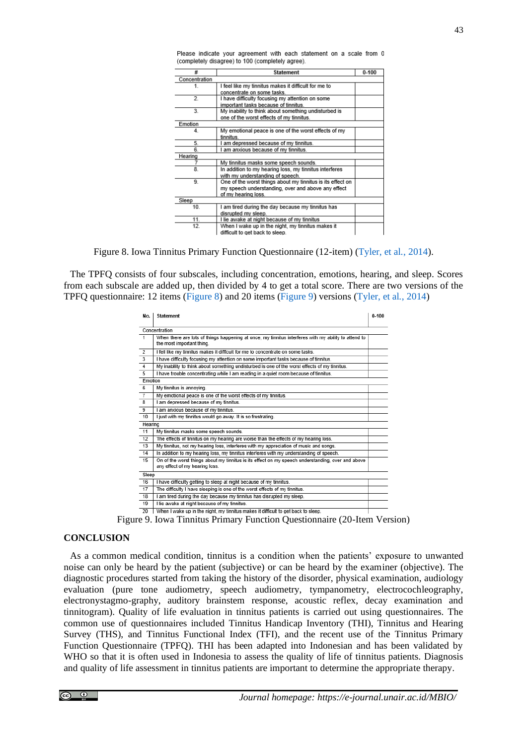| #             | <b>Statement</b>                                           | $0 - 100$ |
|---------------|------------------------------------------------------------|-----------|
| Concentration |                                                            |           |
| 1.            | I feel like my tinnitus makes it difficult for me to       |           |
|               | concentrate on some tasks.                                 |           |
| 2.            | I have difficulty focusing my attention on some            |           |
|               | important tasks because of tinnitus.                       |           |
| 3.            | My inability to think about something undisturbed is       |           |
|               | one of the worst effects of my tinnitus.                   |           |
| Emotion       |                                                            |           |
| 4.            | My emotional peace is one of the worst effects of my       |           |
|               | tinnitus                                                   |           |
| 5.            | I am depressed because of my tinnitus.                     |           |
| 6.            | I am anxious because of my tinnitus.                       |           |
| Hearing       |                                                            |           |
| 7             | My tinnitus masks some speech sounds.                      |           |
| 8.            | In addition to my hearing loss, my tinnitus interferes     |           |
|               | with my understanding of speech.                           |           |
| 9.            | One of the worst things about my tinnitus is its effect on |           |
|               | my speech understanding, over and above any effect         |           |
|               | of my hearing loss.                                        |           |
| Sleep         |                                                            |           |
| 10.           | I am tired during the day because my tinnitus has          |           |
|               | disrupted my sleep.                                        |           |
| 11.           | I lie awake at night because of my tinnitus                |           |
| 12.           | When I wake up in the night, my tinnitus makes it          |           |
|               | difficult to get back to sleep.                            |           |

Please indicate your agreement with each statement on a scale from 0 (completely disagree) to 100 (completely agree).

Figure 8. Iowa Tinnitus Primary Function Questionnaire (12-item) [\(Tyler, et al](#page-10-2)*.*, 2014).

<span id="page-8-0"></span>The TPFQ consists of four subscales, including concentration, emotions, hearing, and sleep. Scores from each subscale are added up, then divided by 4 to get a total score. There are two versions of the TPFQ questionnaire: 12 items [\(Figure 8\)](#page-8-0) and 20 items [\(Figure 9\)](#page-8-1) versions [\(Tyler, et al](#page-10-2)*.*, 2014)

| No.            | <b>Statement</b>                                                                                                                    | $0 - 100$ |
|----------------|-------------------------------------------------------------------------------------------------------------------------------------|-----------|
|                | Concentration                                                                                                                       |           |
| $\overline{1}$ | When there are lots of things happening at once, my tinnitus interferes with my ability to attend to<br>the most important thing.   |           |
| $\overline{2}$ | I fell like my tinnitus makes it difficult for me to concentrate on some tasks.                                                     |           |
| 3              | I have difficulty focusing my attention on some important tasks because of tinnitus.                                                |           |
| 4              | My inability to think about something undisturbed is one of the worst effects of my tinnitus.                                       |           |
| 5              | I have trouble concentrating while I am reading in a quiet room because of tinnitus.                                                |           |
| Emotion        |                                                                                                                                     |           |
| 6              | My tinnitus is annoying.                                                                                                            |           |
| $\overline{7}$ | My emotional peace is one of the worst effects of my tinnitus.                                                                      |           |
| 8              | I am depressed because of my tinnitus.                                                                                              |           |
| 9              | I am anxious because of my tinnitus.                                                                                                |           |
| 10             | I just with my tinnitus would go away. It is so frustrating.                                                                        |           |
| Hearing        |                                                                                                                                     |           |
| 11             | My tinnitus masks some speech sounds.                                                                                               |           |
| 12             | The effects of tinnitus on my hearing are worse than the effects of my hearing loss.                                                |           |
| 13             | My tinnitus, not my hearing loss, interferes with my appreciation of music and songs.                                               |           |
| 14             | In addition to my hearing loss, my tinnitus interferes with my understanding of speech.                                             |           |
| 15             | On of the worst things about my tinnitus is its effect on my speech understanding, over and above<br>any effect of my hearing loss. |           |
| Sleep          |                                                                                                                                     |           |
| 16             | I have difficulty getting to sleep at night because of my tinnitus.                                                                 |           |
| 17             | The difficulty I have sleeping is one of the worst effects of my tinnitus.                                                          |           |
| 18             | I am tired during the day because my tinnitus has disrupted my sleep.                                                               |           |
| 19             | I lie awake at night because of my tinnitus.                                                                                        |           |
| 20             | When I wake up in the night, my tinnitus makes it difficult to get back to sleep.                                                   |           |

Figure 9. Iowa Tinnitus Primary Function Questionnaire (20-Item Version)

## <span id="page-8-1"></span>**CONCLUSION**

As a common medical condition, tinnitus is a condition when the patients' exposure to unwanted noise can only be heard by the patient (subjective) or can be heard by the examiner (objective). The diagnostic procedures started from taking the history of the disorder, physical examination, audiology evaluation (pure tone audiometry, speech audiometry, tympanometry, electrocochleography, electronystagmo-graphy, auditory brainstem response, acoustic reflex, decay examination and tinnitogram). Quality of life evaluation in tinnitus patients is carried out using questionnaires. The common use of questionnaires included Tinnitus Handicap Inventory (THI), Tinnitus and Hearing Survey (THS), and Tinnitus Functional Index (TFI), and the recent use of the Tinnitus Primary Function Questionnaire (TPFQ). THI has been adapted into Indonesian and has been validated by WHO so that it is often used in Indonesia to assess the quality of life of tinnitus patients. Diagnosis and quality of life assessment in tinnitus patients are important to determine the appropriate therapy.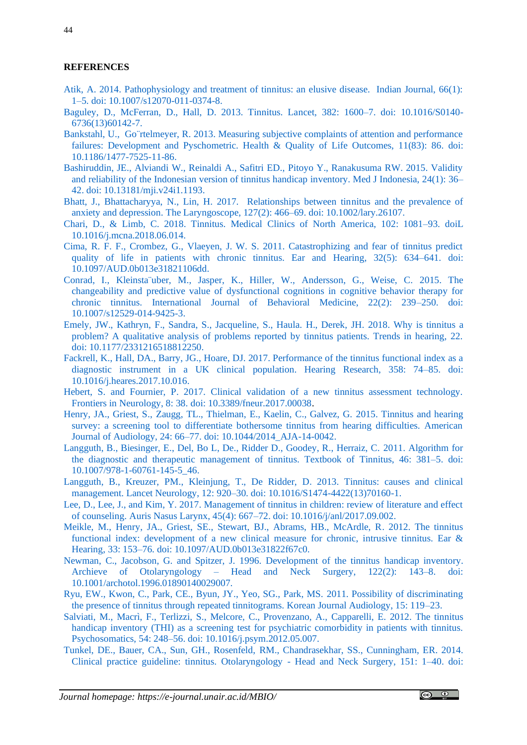## **REFERENCES**

- <span id="page-9-7"></span>[Atik, A. 2014. Pathophysiology and treatment of tinnitus: an elusive disease. Indian Journal, 66\(1\):](https://www.ncbi.nlm.nih.gov/pmc/articles/PMC3918281/)  1–5. [doi: 10.1007/s12070-011-0374-8.](https://www.ncbi.nlm.nih.gov/pmc/articles/PMC3918281/)
- <span id="page-9-10"></span>[Baguley, D., McFerran, D., Hall, D. 2013. Tinnitus. Lancet, 382: 1600–7.](https://pubmed.ncbi.nlm.nih.gov/23827090/) doi: 10.1016/S0140- [6736\(13\)60142-7.](https://pubmed.ncbi.nlm.nih.gov/23827090/)
- <span id="page-9-12"></span>[Bankstahl, U., Go¨rtelmeyer, R. 2013. Measuring subjective complaints of attention and performance](https://pubmed.ncbi.nlm.nih.gov/23714398/)  failures: Development and Pyschometric. Health & Quality of Life Outcomes, 11(83): 86, doi: [10.1186/1477-7525-11-86.](https://pubmed.ncbi.nlm.nih.gov/23714398/)
- <span id="page-9-3"></span>[Bashiruddin, JE., Alviandi W., Reinaldi A., Safitri ED., Pitoyo Y., Ranakusuma RW. 2015. Validity](https://mji.ui.ac.id/journal/index.php/mji/article/view/1193)  [and reliability of the Indonesian version of tinnitus handicap inventory. Med J Indonesia, 24\(1\): 36–](https://mji.ui.ac.id/journal/index.php/mji/article/view/1193) 42. [doi: 10.13181/mji.v24i1.1193.](https://mji.ui.ac.id/journal/index.php/mji/article/view/1193)
- <span id="page-9-9"></span>[Bhatt, J., Bhattacharyya, N., Lin, H. 2017. Relationships between tinnitus and the prevalence of](https://pubmed.ncbi.nlm.nih.gov/27301552/)  [anxiety and depression. The Laryngoscope, 127\(2\): 466–69.](https://pubmed.ncbi.nlm.nih.gov/27301552/) doi: 10.1002/lary.26107.
- <span id="page-9-6"></span>Chari, D., & [Limb, C. 2018. Tinnitus. Medical Clinics of North America, 102: 1081–93.](https://www.sciencedirect.com/science/article/abs/pii/S0025712518300749?via%3Dihub) doiL [10.1016/j.mcna.2018.06.014.](https://www.sciencedirect.com/science/article/abs/pii/S0025712518300749?via%3Dihub)
- <span id="page-9-14"></span>[Cima, R. F. F., Crombez, G., Vlaeyen, J. W. S. 2011. Catastrophizing and fear of tinnitus predict](https://pubmed.ncbi.nlm.nih.gov/21399500/)  quality of life in patients [with chronic tinnitus. Ear and Hearing, 32\(5\): 634–641.](https://pubmed.ncbi.nlm.nih.gov/21399500/) doi: [10.1097/AUD.0b013e31821106dd.](https://pubmed.ncbi.nlm.nih.gov/21399500/)
- <span id="page-9-19"></span>[Conrad, I., Kleinsta¨uber, M., Jasper, K., Hiller, W., Andersson, G., Weise, C. 2015. The](https://pubmed.ncbi.nlm.nih.gov/25031187/)  changeability and [predictive value of dysfunctional cognitions in cognitive behavior therapy for](https://pubmed.ncbi.nlm.nih.gov/25031187/)  [chronic tinnitus. International Journal of Behavioral Medicine, 22\(2\): 239–250.](https://pubmed.ncbi.nlm.nih.gov/25031187/) doi: [10.1007/s12529-014-9425-3.](https://pubmed.ncbi.nlm.nih.gov/25031187/)
- <span id="page-9-4"></span>[Emely, JW., Kathryn, F., Sandra, S., Jacqueline, S., Haula. H., Derek, JH](https://www.ncbi.nlm.nih.gov/pmc/articles/PMC6277754/)*.* 2018. Why is tinnitus a [problem? A qualitative analysis of problems reported by tinnitus patients. Trends in hearing, 22.](https://www.ncbi.nlm.nih.gov/pmc/articles/PMC6277754/) [doi: 10.1177/2331216518812250.](https://www.ncbi.nlm.nih.gov/pmc/articles/PMC6277754/)
- <span id="page-9-17"></span>Fackrell, K., [Hall, DA., Barry, JG., Hoare, DJ. 2017. Performance of the tinnitus functional index as a](https://pubmed.ncbi.nlm.nih.gov/29129348/)  [diagnostic instrument in a UK clinical population. Hearing Research, 358: 74–85.](https://pubmed.ncbi.nlm.nih.gov/29129348/) doi: [10.1016/j.heares.2017.10.016.](https://pubmed.ncbi.nlm.nih.gov/29129348/)
- <span id="page-9-0"></span>Hebert, S. and Fournier, P. 2017. Clinical validation of a new tinnitus assessment technology. Frontiers in Neurology, 8: 38. [doi: 10.3389/fneur.2017.00038.](https://www.frontiersin.org/articles/10.3389/fneur.2017.00038/full)
- <span id="page-9-5"></span>[Henry, JA., Griest, S., Zaugg, TL., Thielman, E., Kaelin, C., Galvez, G.](https://pubmed.ncbi.nlm.nih.gov/25551458/#:~:text=We%20developed%20the%20Tinnitus%20and,hearing%20problems%20from%20tinnitus%20problems.&text=Factor%20analysis%20confirmed%20that%20the,with%20each%20other%20(r%3D.) 2015. Tinnitus and hearing [survey: a screening tool to differentiate bothersome tinnitus from hearing difficulties. American](https://pubmed.ncbi.nlm.nih.gov/25551458/#:~:text=We%20developed%20the%20Tinnitus%20and,hearing%20problems%20from%20tinnitus%20problems.&text=Factor%20analysis%20confirmed%20that%20the,with%20each%20other%20(r%3D.)  Journal of Audiology, 24: 66–77. [doi: 10.1044/2014\\_AJA-14-0042.](https://pubmed.ncbi.nlm.nih.gov/25551458/#:~:text=We%20developed%20the%20Tinnitus%20and,hearing%20problems%20from%20tinnitus%20problems.&text=Factor%20analysis%20confirmed%20that%20the,with%20each%20other%20(r%3D.)
- <span id="page-9-1"></span>Langguth, B., [Biesinger, E., Del, Bo L, De., Ridder D., Goodey, R., Herraiz, C. 2011. Algorithm for](https://www.researchgate.net/publication/226383193_Algorithm_for_the_Diagnostic_and_Therapeutic_Management_of_Tinnitus)  [the diagnostic and therapeutic management of tinnitus. Textbook of Tinnitus, 46: 381–5.](https://www.researchgate.net/publication/226383193_Algorithm_for_the_Diagnostic_and_Therapeutic_Management_of_Tinnitus) doi: [10.1007/978-1-60761-145-5\\_46.](https://www.researchgate.net/publication/226383193_Algorithm_for_the_Diagnostic_and_Therapeutic_Management_of_Tinnitus)
- <span id="page-9-8"></span>[Langguth, B., Kreuzer, PM., Kleinjung, T., De Ridder, D](https://pubmed.ncbi.nlm.nih.gov/23948178/). 2013. Tinnitus: causes and clinical management. Lancet Neurology, 12: 920–30. [doi: 10.1016/S1474-4422\(13\)70160-1.](https://pubmed.ncbi.nlm.nih.gov/23948178/)
- <span id="page-9-13"></span>[Lee, D., Lee, J., and Kim, Y. 2017. Management of tinnitus in children: review of literature and effect](https://pubmed.ncbi.nlm.nih.gov/28943052/)  [of counseling. Auris Nasus Larynx, 45\(4\): 667–72.](https://pubmed.ncbi.nlm.nih.gov/28943052/) doi: 10.1016/j/anl/2017.09.002.
- <span id="page-9-18"></span>[Meikle, M., Henry, JA., Griest, SE., Stewart, BJ., Abrams, HB., McArdle, R. 2012. The tinnitus](https://pubmed.ncbi.nlm.nih.gov/22156949/)  [functional index: development of a new clinical measure for chronic, intrusive tinnitus. Ear &](https://pubmed.ncbi.nlm.nih.gov/22156949/)  Hearing, 33: 153–76. [doi: 10.1097/AUD.0b013e31822f67c0.](https://pubmed.ncbi.nlm.nih.gov/22156949/)
- <span id="page-9-15"></span>[Newman, C., Jacobson, G. and Spitzer, J. 1996. Development of the tinnitus handicap inventory.](https://pubmed.ncbi.nlm.nih.gov/8630207/)  Archieve of Otolaryngology – [Head and Neck Surgery, 122\(2\): 143–8.](https://pubmed.ncbi.nlm.nih.gov/8630207/) doi: [10.1001/archotol.1996.01890140029007.](https://pubmed.ncbi.nlm.nih.gov/8630207/)
- <span id="page-9-11"></span>[Ryu, EW., Kwon, C., Park, CE., Byun, JY., Yeo, SG., Park, MS.](https://www.ejao.org/journal/view.php?number=183) 2011. Possibility of discriminating [the presence of tinnitus through repeated tinnitograms. Korean Journal Audiology, 15: 119–23.](https://www.ejao.org/journal/view.php?number=183)
- <span id="page-9-16"></span>[Salviati, M., Macrì, F., Terlizzi, S., Melcore, C., Provenzano, A.,](https://pubmed.ncbi.nlm.nih.gov/23219227/) Capparelli, E. 2012. The tinnitus handicap [inventory \(THI\) as a screening test for psychiatric comorbidity in patients with tinnitus.](https://pubmed.ncbi.nlm.nih.gov/23219227/)  Psychosomatics, 54: 248–56. [doi: 10.1016/j.psym.2012.05.007.](https://pubmed.ncbi.nlm.nih.gov/23219227/)
- <span id="page-9-2"></span>Tunkel, DE., Bauer, CA., Sun, GH., Rosenfeld, [RM., Chandrasekhar, SS., Cunningham, ER. 2014.](https://pubmed.ncbi.nlm.nih.gov/25273878/)  [Clinical practice guideline: tinnitus. Otolaryngology -](https://pubmed.ncbi.nlm.nih.gov/25273878/) Head and Neck Surgery, 151: 1–40. doi: